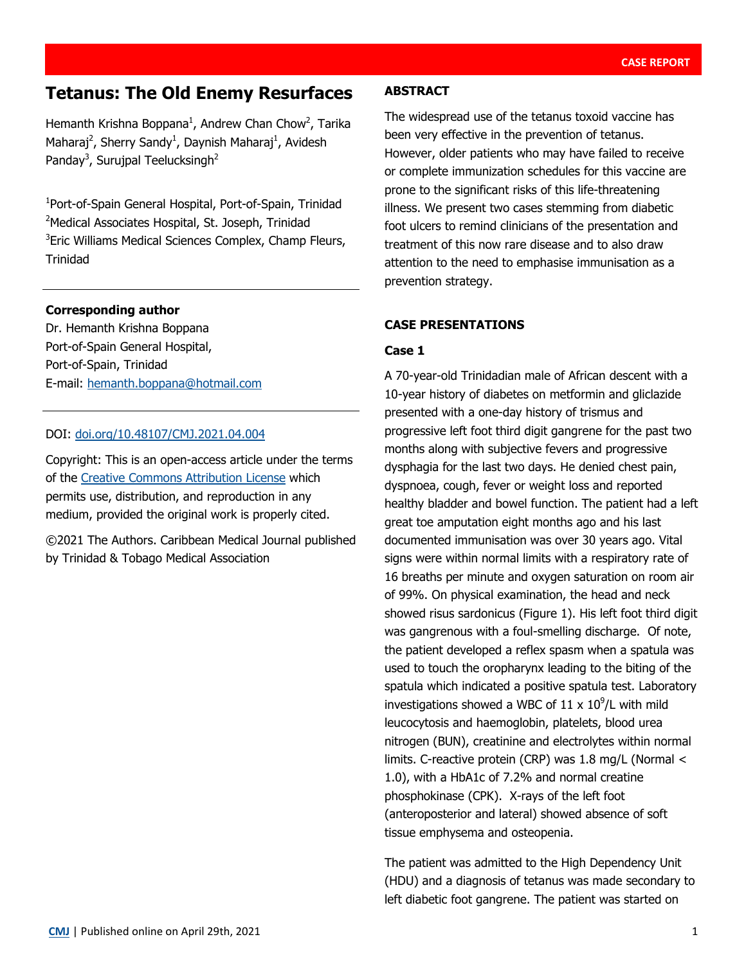# **Tetanus: The Old Enemy Resurfaces**

Hemanth Krishna Boppana<sup>1</sup>, Andrew Chan Chow<sup>2</sup>, Tarika Maharaj<sup>2</sup>, Sherry Sandy<sup>1</sup>, Daynish Maharaj<sup>1</sup>, Avidesh Panday<sup>3</sup>, Surujpal Teelucksingh<sup>2</sup>

1 Port-of-Spain General Hospital, Port-of-Spain, Trinidad <sup>2</sup>Medical Associates Hospital, St. Joseph, Trinidad <sup>3</sup>Eric Williams Medical Sciences Complex, Champ Fleurs, Trinidad

### **Corresponding author**

Dr. Hemanth Krishna Boppana Port-of-Spain General Hospital, Port-of-Spain, Trinidad E-mail: [hemanth.boppana@hotmail.com](mailto:hemanth.boppana@hotmail.com)

### DOI: [doi.org/10.48107/CMJ.2021.04.004](https://doi.org/10.48107/CMJ.2021.04.004)

Copyright: This is an open-access article under the terms of the [Creative Commons Attribution License](http://creativecommons.org/licenses/by/4.0/) which permits use, distribution, and reproduction in any medium, provided the original work is properly cited.

©2021 The Authors. Caribbean Medical Journal published by Trinidad & Tobago Medical Association

### **ABSTRACT**

The widespread use of the tetanus toxoid vaccine has been very effective in the prevention of tetanus. However, older patients who may have failed to receive or complete immunization schedules for this vaccine are prone to the significant risks of this life-threatening illness. We present two cases stemming from diabetic foot ulcers to remind clinicians of the presentation and treatment of this now rare disease and to also draw attention to the need to emphasise immunisation as a prevention strategy.

#### **CASE PRESENTATIONS**

## **Case 1**

A 70-year-old Trinidadian male of African descent with a 10-year history of diabetes on metformin and gliclazide presented with a one-day history of trismus and progressive left foot third digit gangrene for the past two months along with subjective fevers and progressive dysphagia for the last two days. He denied chest pain, dyspnoea, cough, fever or weight loss and reported healthy bladder and bowel function. The patient had a left great toe amputation eight months ago and his last documented immunisation was over 30 years ago. Vital signs were within normal limits with a respiratory rate of 16 breaths per minute and oxygen saturation on room air of 99%. On physical examination, the head and neck showed risus sardonicus (Figure 1). His left foot third digit was gangrenous with a foul-smelling discharge. Of note, the patient developed a reflex spasm when a spatula was used to touch the oropharynx leading to the biting of the spatula which indicated a positive spatula test. Laboratory investigations showed a WBC of  $11 \times 10^9$ /L with mild leucocytosis and haemoglobin, platelets, blood urea nitrogen (BUN), creatinine and electrolytes within normal limits. C-reactive protein (CRP) was 1.8 mg/L (Normal < 1.0), with a HbA1c of 7.2% and normal creatine phosphokinase (CPK). X-rays of the left foot (anteroposterior and lateral) showed absence of soft tissue emphysema and osteopenia.

The patient was admitted to the High Dependency Unit (HDU) and a diagnosis of tetanus was made secondary to left diabetic foot gangrene. The patient was started on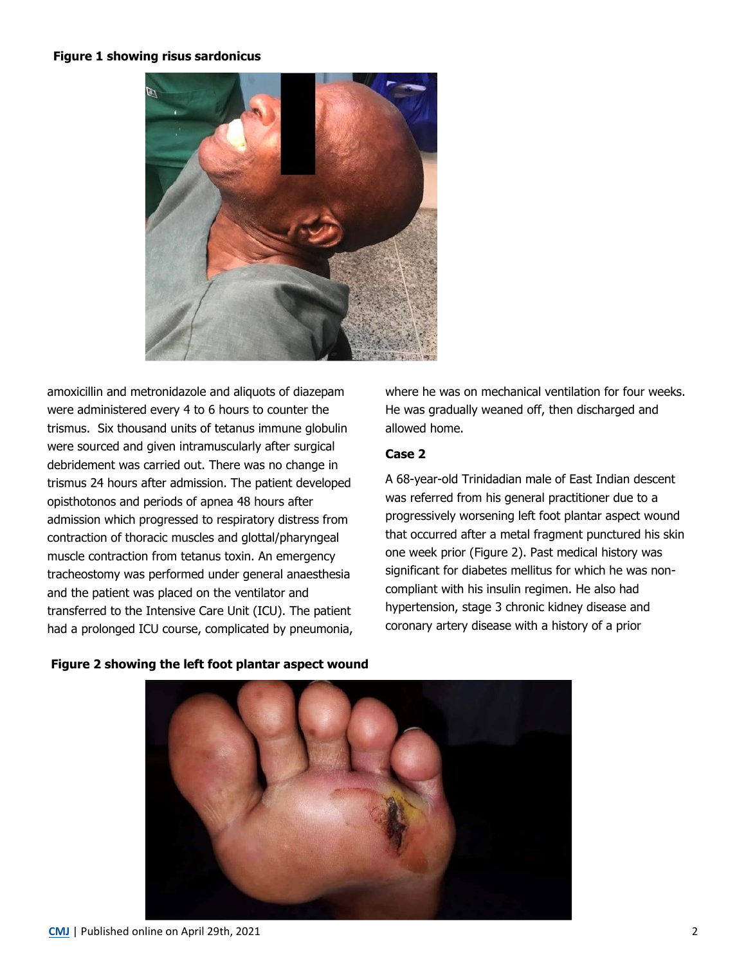#### **Figure 1 showing risus sardonicus**



amoxicillin and metronidazole and aliquots of diazepam were administered every 4 to 6 hours to counter the trismus. Six thousand units of tetanus immune globulin were sourced and given intramuscularly after surgical debridement was carried out. There was no change in trismus 24 hours after admission. The patient developed opisthotonos and periods of apnea 48 hours after admission which progressed to respiratory distress from contraction of thoracic muscles and glottal/pharyngeal muscle contraction from tetanus toxin. An emergency tracheostomy was performed under general anaesthesia and the patient was placed on the ventilator and transferred to the Intensive Care Unit (ICU). The patient had a prolonged ICU course, complicated by pneumonia, where he was on mechanical ventilation for four weeks. He was gradually weaned off, then discharged and allowed home.

#### **Case 2**

A 68-year-old Trinidadian male of East Indian descent was referred from his general practitioner due to a progressively worsening left foot plantar aspect wound that occurred after a metal fragment punctured his skin one week prior (Figure 2). Past medical history was significant for diabetes mellitus for which he was noncompliant with his insulin regimen. He also had hypertension, stage 3 chronic kidney disease and coronary artery disease with a history of a prior

#### **Figure 2 showing the left foot plantar aspect wound**

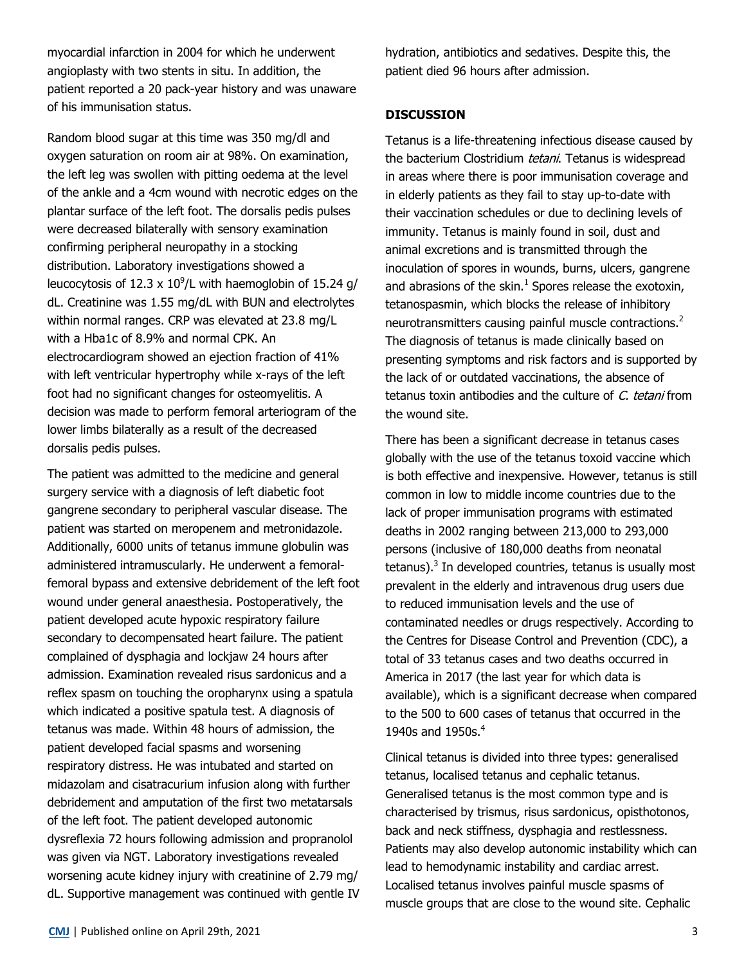myocardial infarction in 2004 for which he underwent angioplasty with two stents in situ. In addition, the patient reported a 20 pack-year history and was unaware of his immunisation status.

Random blood sugar at this time was 350 mg/dl and oxygen saturation on room air at 98%. On examination, the left leg was swollen with pitting oedema at the level of the ankle and a 4cm wound with necrotic edges on the plantar surface of the left foot. The dorsalis pedis pulses were decreased bilaterally with sensory examination confirming peripheral neuropathy in a stocking distribution. Laboratory investigations showed a leucocytosis of 12.3 x  $10^9$ /L with haemoglobin of 15.24 g/ dL. Creatinine was 1.55 mg/dL with BUN and electrolytes within normal ranges. CRP was elevated at 23.8 mg/L with a Hba1c of 8.9% and normal CPK. An electrocardiogram showed an ejection fraction of 41% with left ventricular hypertrophy while x-rays of the left foot had no significant changes for osteomyelitis. A decision was made to perform femoral arteriogram of the lower limbs bilaterally as a result of the decreased dorsalis pedis pulses.

The patient was admitted to the medicine and general surgery service with a diagnosis of left diabetic foot gangrene secondary to peripheral vascular disease. The patient was started on meropenem and metronidazole. Additionally, 6000 units of tetanus immune globulin was administered intramuscularly. He underwent a femoralfemoral bypass and extensive debridement of the left foot wound under general anaesthesia. Postoperatively, the patient developed acute hypoxic respiratory failure secondary to decompensated heart failure. The patient complained of dysphagia and lockjaw 24 hours after admission. Examination revealed risus sardonicus and a reflex spasm on touching the oropharynx using a spatula which indicated a positive spatula test. A diagnosis of tetanus was made. Within 48 hours of admission, the patient developed facial spasms and worsening respiratory distress. He was intubated and started on midazolam and cisatracurium infusion along with further debridement and amputation of the first two metatarsals of the left foot. The patient developed autonomic dysreflexia 72 hours following admission and propranolol was given via NGT. Laboratory investigations revealed worsening acute kidney injury with creatinine of 2.79 mg/ dL. Supportive management was continued with gentle IV hydration, antibiotics and sedatives. Despite this, the patient died 96 hours after admission.

## **DISCUSSION**

Tetanus is a life-threatening infectious disease caused by the bacterium Clostridium tetani. Tetanus is widespread in areas where there is poor immunisation coverage and in elderly patients as they fail to stay up-to-date with their vaccination schedules or due to declining levels of immunity. Tetanus is mainly found in soil, dust and animal excretions and is transmitted through the inoculation of spores in wounds, burns, ulcers, gangrene and abrasions of the skin. $<sup>1</sup>$  Spores release the exotoxin,</sup> tetanospasmin, which blocks the release of inhibitory neurotransmitters causing painful muscle contractions.<sup>2</sup> The diagnosis of tetanus is made clinically based on presenting symptoms and risk factors and is supported by the lack of or outdated vaccinations, the absence of tetanus toxin antibodies and the culture of C. tetani from the wound site.

There has been a significant decrease in tetanus cases globally with the use of the tetanus toxoid vaccine which is both effective and inexpensive. However, tetanus is still common in low to middle income countries due to the lack of proper immunisation programs with estimated deaths in 2002 ranging between 213,000 to 293,000 persons (inclusive of 180,000 deaths from neonatal tetanus).<sup>3</sup> In developed countries, tetanus is usually most prevalent in the elderly and intravenous drug users due to reduced immunisation levels and the use of contaminated needles or drugs respectively. According to the Centres for Disease Control and Prevention (CDC), a total of 33 tetanus cases and two deaths occurred in America in 2017 (the last year for which data is available), which is a significant decrease when compared to the 500 to 600 cases of tetanus that occurred in the 1940s and 1950s.<sup>4</sup>

Clinical tetanus is divided into three types: generalised tetanus, localised tetanus and cephalic tetanus. Generalised tetanus is the most common type and is characterised by trismus, risus sardonicus, opisthotonos, back and neck stiffness, dysphagia and restlessness. Patients may also develop autonomic instability which can lead to hemodynamic instability and cardiac arrest. Localised tetanus involves painful muscle spasms of muscle groups that are close to the wound site. Cephalic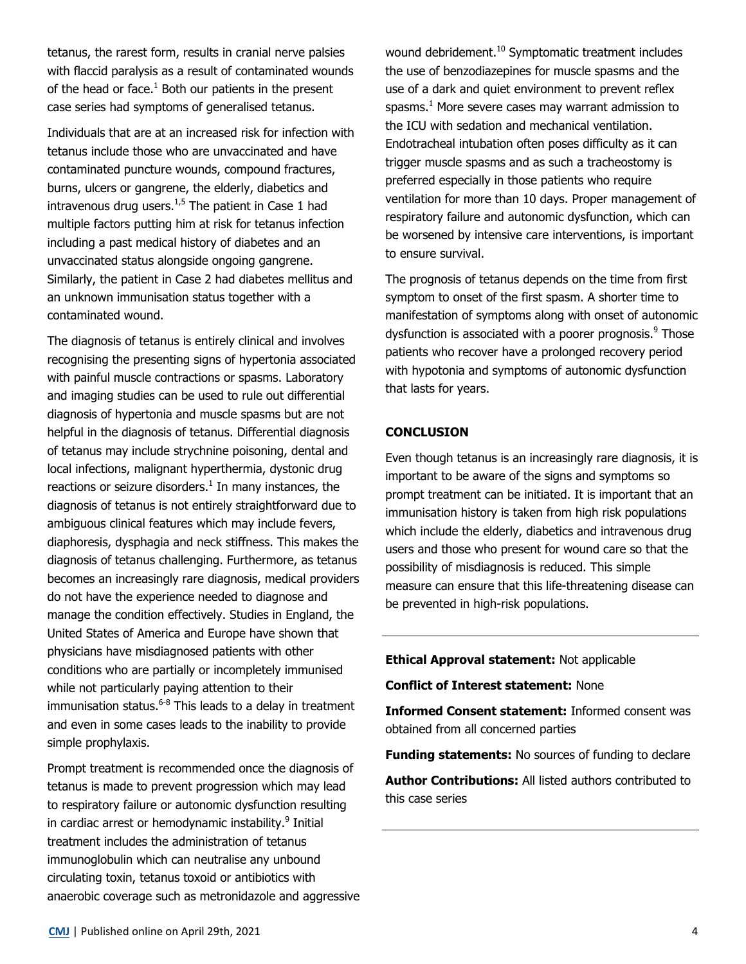tetanus, the rarest form, results in cranial nerve palsies with flaccid paralysis as a result of contaminated wounds of the head or face. $^1$  Both our patients in the present case series had symptoms of generalised tetanus.

Individuals that are at an increased risk for infection with tetanus include those who are unvaccinated and have contaminated puncture wounds, compound fractures, burns, ulcers or gangrene, the elderly, diabetics and intravenous drug users. $1,5$  The patient in Case 1 had multiple factors putting him at risk for tetanus infection including a past medical history of diabetes and an unvaccinated status alongside ongoing gangrene. Similarly, the patient in Case 2 had diabetes mellitus and an unknown immunisation status together with a contaminated wound.

The diagnosis of tetanus is entirely clinical and involves recognising the presenting signs of hypertonia associated with painful muscle contractions or spasms. Laboratory and imaging studies can be used to rule out differential diagnosis of hypertonia and muscle spasms but are not helpful in the diagnosis of tetanus. Differential diagnosis of tetanus may include strychnine poisoning, dental and local infections, malignant hyperthermia, dystonic drug reactions or seizure disorders. $<sup>1</sup>$  In many instances, the</sup> diagnosis of tetanus is not entirely straightforward due to ambiguous clinical features which may include fevers, diaphoresis, dysphagia and neck stiffness. This makes the diagnosis of tetanus challenging. Furthermore, as tetanus becomes an increasingly rare diagnosis, medical providers do not have the experience needed to diagnose and manage the condition effectively. Studies in England, the United States of America and Europe have shown that physicians have misdiagnosed patients with other conditions who are partially or incompletely immunised while not particularly paying attention to their immunisation status.<sup>6-8</sup> This leads to a delay in treatment and even in some cases leads to the inability to provide simple prophylaxis.

Prompt treatment is recommended once the diagnosis of tetanus is made to prevent progression which may lead to respiratory failure or autonomic dysfunction resulting in cardiac arrest or hemodynamic instability.<sup>9</sup> Initial treatment includes the administration of tetanus immunoglobulin which can neutralise any unbound circulating toxin, tetanus toxoid or antibiotics with anaerobic coverage such as metronidazole and aggressive wound debridement.<sup>10</sup> Symptomatic treatment includes the use of benzodiazepines for muscle spasms and the use of a dark and quiet environment to prevent reflex spasms.<sup>1</sup> More severe cases may warrant admission to the ICU with sedation and mechanical ventilation. Endotracheal intubation often poses difficulty as it can trigger muscle spasms and as such a tracheostomy is preferred especially in those patients who require ventilation for more than 10 days. Proper management of respiratory failure and autonomic dysfunction, which can be worsened by intensive care interventions, is important to ensure survival.

The prognosis of tetanus depends on the time from first symptom to onset of the first spasm. A shorter time to manifestation of symptoms along with onset of autonomic dysfunction is associated with a poorer prognosis.<sup>9</sup> Those patients who recover have a prolonged recovery period with hypotonia and symptoms of autonomic dysfunction that lasts for years.

# **CONCLUSION**

Even though tetanus is an increasingly rare diagnosis, it is important to be aware of the signs and symptoms so prompt treatment can be initiated. It is important that an immunisation history is taken from high risk populations which include the elderly, diabetics and intravenous drug users and those who present for wound care so that the possibility of misdiagnosis is reduced. This simple measure can ensure that this life-threatening disease can be prevented in high-risk populations.

#### **Ethical Approval statement:** Not applicable

**Conflict of Interest statement:** None

**Informed Consent statement:** Informed consent was obtained from all concerned parties

**Funding statements:** No sources of funding to declare

**Author Contributions:** All listed authors contributed to this case series